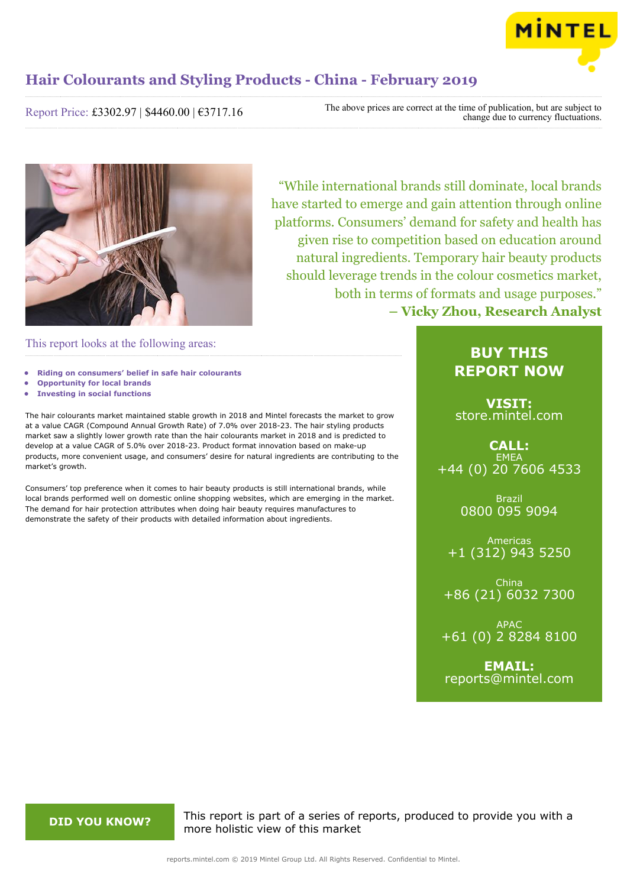

Report Price: £3302.97 | \$4460.00 | €3717.16

The above prices are correct at the time of publication, but are subject to change due to currency fluctuations.



"While international brands still dominate, local brands have started to emerge and gain attention through online platforms. Consumers' demand for safety and health has given rise to competition based on education around natural ingredients. Temporary hair beauty products should leverage trends in the colour cosmetics market, both in terms of formats and usage purposes." **– Vicky Zhou, Research Analyst**

This report looks at the following areas:

- **• Riding on consumers' belief in safe hair colourants**
- **• Opportunity for local brands**
- **• Investing in social functions**

The hair colourants market maintained stable growth in 2018 and Mintel forecasts the market to grow at a value CAGR (Compound Annual Growth Rate) of 7.0% over 2018-23. The hair styling products market saw a slightly lower growth rate than the hair colourants market in 2018 and is predicted to develop at a value CAGR of 5.0% over 2018-23. Product format innovation based on make-up products, more convenient usage, and consumers' desire for natural ingredients are contributing to the market's growth.

Consumers' top preference when it comes to hair beauty products is still international brands, while local brands performed well on domestic online shopping websites, which are emerging in the market. The demand for hair protection attributes when doing hair beauty requires manufactures to demonstrate the safety of their products with detailed information about ingredients.

### **BUY THIS REPORT NOW**

**VISIT:** [store.mintel.com](http://reports.mintel.com//display/store/919812/)

**CALL: EMEA** +44 (0) 20 7606 4533

> Brazil 0800 095 9094

Americas +1 (312) 943 5250

China +86 (21) 6032 7300

APAC +61 (0) 2 8284 8100

**EMAIL:** [reports@mintel.com](mailto:reports@mintel.com)

**DID YOU KNOW?** This report is part of a series of reports, produced to provide you with a more holistic view of this market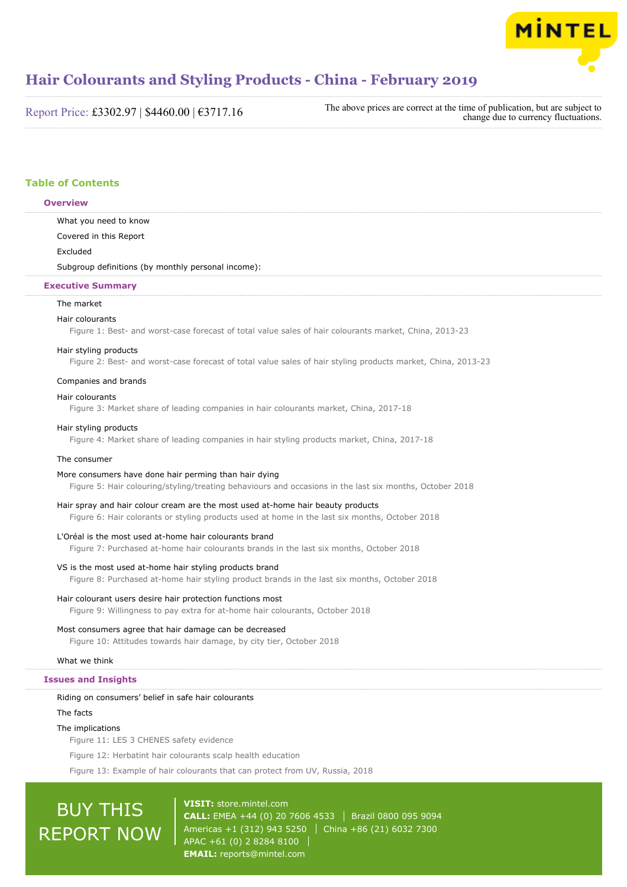

Report Price: £3302.97 | \$4460.00 | €3717.16

The above prices are correct at the time of publication, but are subject to change due to currency fluctuations.

### **Table of Contents**

### **Overview**

What you need to know Covered in this Report Excluded

Subgroup definitions (by monthly personal income):

### **Executive Summary**

### The market

### Hair colourants

Figure 1: Best- and worst-case forecast of total value sales of hair colourants market, China, 2013-23

### Hair styling products

Figure 2: Best- and worst-case forecast of total value sales of hair styling products market, China, 2013-23

### Companies and brands

### Hair colourants

Figure 3: Market share of leading companies in hair colourants market, China, 2017-18

### Hair styling products

Figure 4: Market share of leading companies in hair styling products market, China, 2017-18

### The consumer

### More consumers have done hair perming than hair dying

Figure 5: Hair colouring/styling/treating behaviours and occasions in the last six months, October 2018

### Hair spray and hair colour cream are the most used at-home hair beauty products

Figure 6: Hair colorants or styling products used at home in the last six months, October 2018

### L'Oréal is the most used at-home hair colourants brand

Figure 7: Purchased at-home hair colourants brands in the last six months, October 2018

### VS is the most used at-home hair styling products brand

Figure 8: Purchased at-home hair styling product brands in the last six months, October 2018

### Hair colourant users desire hair protection functions most

Figure 9: Willingness to pay extra for at-home hair colourants, October 2018

### Most consumers agree that hair damage can be decreased

Figure 10: Attitudes towards hair damage, by city tier, October 2018

### What we think

### **Issues and Insights**

### Riding on consumers' belief in safe hair colourants

The facts

### The implications

Figure 11: LES 3 CHENES safety evidence

Figure 12: Herbatint hair colourants scalp health education

Figure 13: Example of hair colourants that can protect from UV, Russia, 2018

# BUY THIS REPORT NOW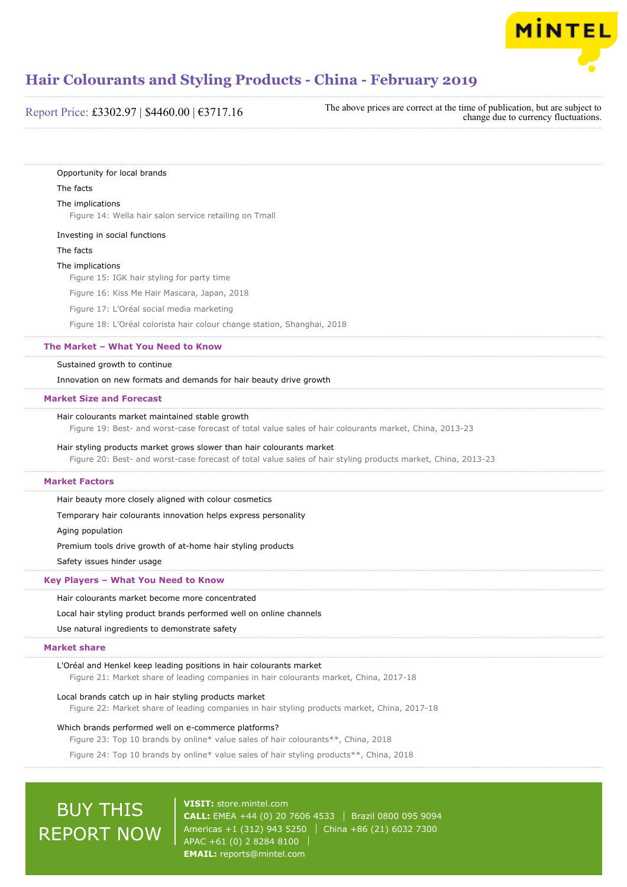

Report Price: £3302.97 | \$4460.00 | €3717.16

The above prices are correct at the time of publication, but are subject to change due to currency fluctuations.

Opportunity for local brands

### The facts

### The implications

Figure 14: Wella hair salon service retailing on Tmall

Investing in social functions

The facts

### The implications

Figure 15: IGK hair styling for party time

Figure 16: Kiss Me Hair Mascara, Japan, 2018

Figure 17: L'Oréal social media marketing

Figure 18: L'Oréal colorista hair colour change station, Shanghai, 2018

### **The Market – What You Need to Know**

### Sustained growth to continue

Innovation on new formats and demands for hair beauty drive growth

### **Market Size and Forecast**

### Hair colourants market maintained stable growth

Figure 19: Best- and worst-case forecast of total value sales of hair colourants market, China, 2013-23

### Hair styling products market grows slower than hair colourants market

Figure 20: Best- and worst-case forecast of total value sales of hair styling products market, China, 2013-23

### **Market Factors**

Hair beauty more closely aligned with colour cosmetics

Temporary hair colourants innovation helps express personality

Aging population

Premium tools drive growth of at-home hair styling products

Safety issues hinder usage

### **Key Players – What You Need to Know**

Hair colourants market become more concentrated

### Local hair styling product brands performed well on online channels

Use natural ingredients to demonstrate safety

### **Market share**

### L'Oréal and Henkel keep leading positions in hair colourants market

Figure 21: Market share of leading companies in hair colourants market, China, 2017-18

### Local brands catch up in hair styling products market

Figure 22: Market share of leading companies in hair styling products market, China, 2017-18

### Which brands performed well on e-commerce platforms?

Figure 23: Top 10 brands by online\* value sales of hair colourants\*\*, China, 2018

Figure 24: Top 10 brands by online\* value sales of hair styling products\*\*, China, 2018

## BUY THIS REPORT NOW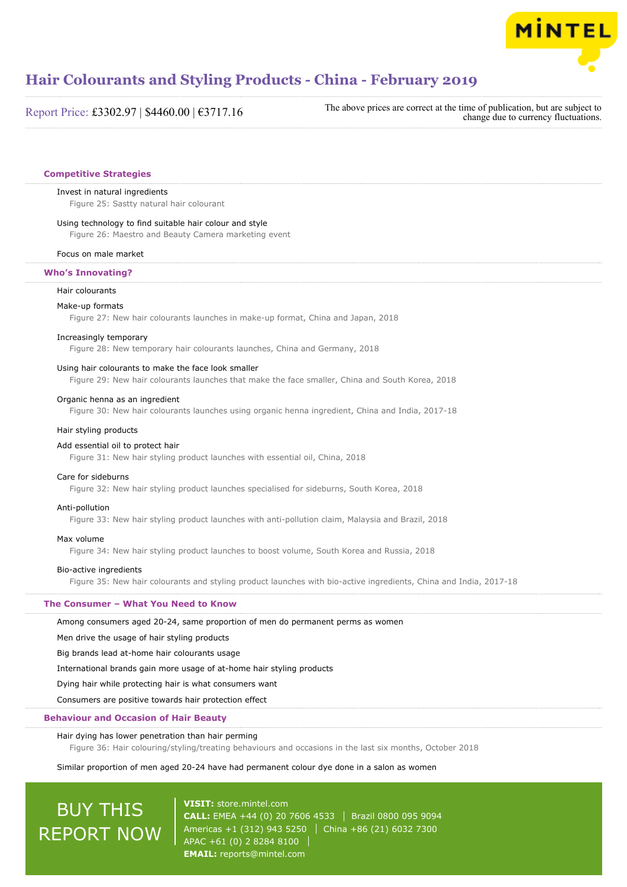

Report Price: £3302.97 | \$4460.00 | €3717.16

The above prices are correct at the time of publication, but are subject to change due to currency fluctuations.

### **Competitive Strategies**

### Invest in natural ingredients

Figure 25: Sastty natural hair colourant

### Using technology to find suitable hair colour and style

Figure 26: Maestro and Beauty Camera marketing event

### Focus on male market

### **Who's Innovating?**

#### Hair colourants

#### Make-up formats

Figure 27: New hair colourants launches in make-up format, China and Japan, 2018

### Increasingly temporary

Figure 28: New temporary hair colourants launches, China and Germany, 2018

### Using hair colourants to make the face look smaller

Figure 29: New hair colourants launches that make the face smaller, China and South Korea, 2018

### Organic henna as an ingredient

Figure 30: New hair colourants launches using organic henna ingredient, China and India, 2017-18

### Hair styling products

### Add essential oil to protect hair

Figure 31: New hair styling product launches with essential oil, China, 2018

### Care for sideburns

Figure 32: New hair styling product launches specialised for sideburns, South Korea, 2018

### Anti-pollution

Figure 33: New hair styling product launches with anti-pollution claim, Malaysia and Brazil, 2018

### Max volume

Figure 34: New hair styling product launches to boost volume, South Korea and Russia, 2018

### Bio-active ingredients

Figure 35: New hair colourants and styling product launches with bio-active ingredients, China and India, 2017-18

### **The Consumer – What You Need to Know**

Among consumers aged 20-24, same proportion of men do permanent perms as women

Men drive the usage of hair styling products

Big brands lead at-home hair colourants usage

International brands gain more usage of at-home hair styling products

Dying hair while protecting hair is what consumers want

Consumers are positive towards hair protection effect

### **Behaviour and Occasion of Hair Beauty**

### Hair dying has lower penetration than hair perming

Figure 36: Hair colouring/styling/treating behaviours and occasions in the last six months, October 2018

### Similar proportion of men aged 20-24 have had permanent colour dye done in a salon as women

## BUY THIS REPORT NOW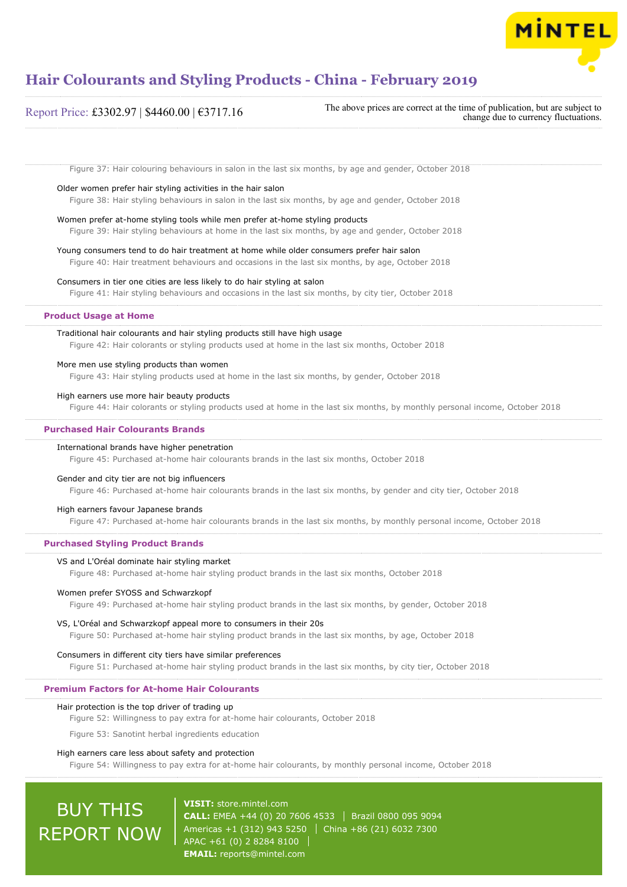

### Figure 37: Hair colouring behaviours in salon in the last six months, by age and gender, October 2018 Older women prefer hair styling activities in the hair salon Figure 38: Hair styling behaviours in salon in the last six months, by age and gender, October 2018 Women prefer at-home styling tools while men prefer at-home styling products Figure 39: Hair styling behaviours at home in the last six months, by age and gender, October 2018 Young consumers tend to do hair treatment at home while older consumers prefer hair salon Figure 40: Hair treatment behaviours and occasions in the last six months, by age, October 2018 Consumers in tier one cities are less likely to do hair styling at salon Figure 41: Hair styling behaviours and occasions in the last six months, by city tier, October 2018 Traditional hair colourants and hair styling products still have high usage Figure 42: Hair colorants or styling products used at home in the last six months, October 2018 More men use styling products than women Figure 43: Hair styling products used at home in the last six months, by gender, October 2018 High earners use more hair beauty products Figure 44: Hair colorants or styling products used at home in the last six months, by monthly personal income, October 2018 International brands have higher penetration Figure 45: Purchased at-home hair colourants brands in the last six months, October 2018 Gender and city tier are not big influencers Figure 46: Purchased at-home hair colourants brands in the last six months, by gender and city tier, October 2018 High earners favour Japanese brands Figure 47: Purchased at-home hair colourants brands in the last six months, by monthly personal income, October 2018 VS and L'Oréal dominate hair styling market Figure 48: Purchased at-home hair styling product brands in the last six months, October 2018 Women prefer SYOSS and Schwarzkopf Figure 49: Purchased at-home hair styling product brands in the last six months, by gender, October 2018 VS, L'Oréal and Schwarzkopf appeal more to consumers in their 20s Figure 50: Purchased at-home hair styling product brands in the last six months, by age, October 2018 Consumers in different city tiers have similar preferences Figure 51: Purchased at-home hair styling product brands in the last six months, by city tier, October 2018 Hair protection is the top driver of trading up Figure 52: Willingness to pay extra for at-home hair colourants, October 2018 Figure 53: Sanotint herbal ingredients education High earners care less about safety and protection Figure 54: Willingness to pay extra for at-home hair colourants, by monthly personal income, October 2018 **Product Usage at Home Purchased Hair Colourants Brands Purchased Styling Product Brands Premium Factors for At-home Hair Colourants** Report Price: £3302.97 | \$4460.00 | €3717.16 The above prices are correct at the time of publication, but are subject to change due to currency fluctuations.

## BUY THIS REPORT NOW